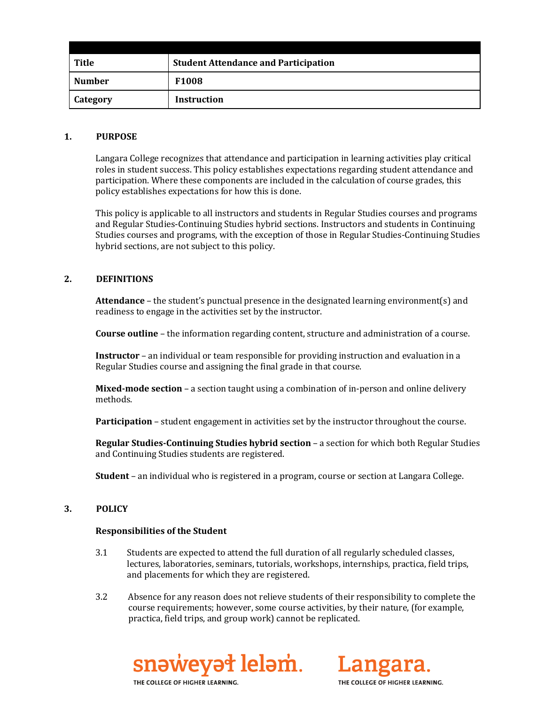| Title           | <b>Student Attendance and Participation</b> |
|-----------------|---------------------------------------------|
| <b>Number</b>   | F <sub>1008</sub>                           |
| <b>Category</b> | Instruction                                 |

#### **1. PURPOSE**

Langara College recognizes that attendance and participation in learning activities play critical roles in student success. This policy establishes expectations regarding student attendance and participation. Where these components are included in the calculation of course grades, this policy establishes expectations for how this is done.

This policy is applicable to all instructors and students in Regular Studies courses and programs and Regular Studies-Continuing Studies hybrid sections. Instructors and students in Continuing Studies courses and programs, with the exception of those in Regular Studies-Continuing Studies hybrid sections, are not subject to this policy.

# **2. DEFINITIONS**

**Attendance** – the student's punctual presence in the designated learning environment(s) and readiness to engage in the activities set by the instructor.

**Course outline** – the information regarding content, structure and administration of a course.

**Instructor** – an individual or team responsible for providing instruction and evaluation in a Regular Studies course and assigning the final grade in that course.

**Mixed-mode section** – a section taught using a combination of in-person and online delivery methods.

**Participation** – student engagement in activities set by the instructor throughout the course.

**Regular Studies-Continuing Studies hybrid section** – a section for which both Regular Studies and Continuing Studies students are registered.

**Student** – an individual who is registered in a program, course or section at Langara College.

### **3. POLICY**

### **Responsibilities of the Student**

- 3.1 Students are expected to attend the full duration of all regularly scheduled classes, lectures, laboratories, seminars, tutorials, workshops, internships, practica, field trips, and placements for which they are registered.
- 3.2 Absence for any reason does not relieve students of their responsibility to complete the course requirements; however, some course activities, by their nature, (for example, practica, field trips, and group work) cannot be replicated.





THE COLLEGE OF HIGHER LEARNING.